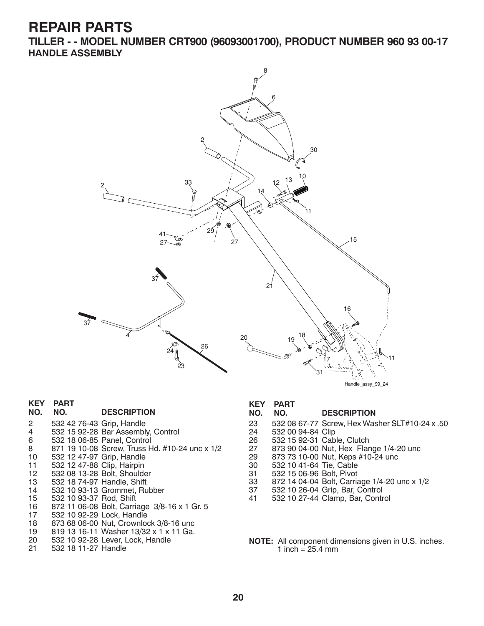**TILLER - - MODEL NUMBER CRT900 (96093001700), PRODUCT NUMBER 960 93 00-17 HANDLE ASSEMBLY**



#### Handle assy 99 24

### **KEY PART**

| .       | . |                    |
|---------|---|--------------------|
| NO. NO. |   | <b>DESCRIPTION</b> |

- 
- 2 532 42 76-43 Grip, Handle 4 532 15 92-28 Bar Assembly, Control
- 6 532 18 06-85 Panel, Control
- 8 871 19 10-08 Screw, Truss Hd. #10-24 unc x 1/2<br>10 532 12 47-97 Grip, Handle
- 10 532 12 47-97 Grip, Handle
- 11 532 12 47-88 Clip, Hairpin
- 12 532 08 13-28 Bolt, Shoulder
- 13 532 18 74-97 Handle, Shift
- 532 10 93-13 Grommet, Rubber
- 15 532 10 93-37 Rod, Shift
- 16 872 11 06-08 Bolt, Carriage 3/8-16 x 1 Gr. 5
- 17 532 10 92-29 Lock, Handle
- 18 873 68 06-00 Nut, Crownlock 3/8-16 unc<br>19 819 13 16-11 Washer 13/32 x 1 x 11 Ga.
- 19 819 13 16-11 Washer 13/32 x 1 x 11 Ga.
- 20 532 10 92-28 Lever, Lock, Handle 532 18 11-27 Handle

**KEY PART** 

#### **NO. NO. DESCRIPTION**

- 23 532 08 67-77 Screw, Hex Washer SLT#10-24 x .50
- 24 532 00 94-84 Clip
- 26 532 15 92-31 Cable, Clutch
- 27 873 90 04-00 Nut, Hex Flange 1/4-20 unc<br>29 873 73 10-00 Nut, Keps #10-24 unc
- 29 873 73 10-00 Nut, Keps #10-24 unc<br>30 532 10 41-64 Tie, Cable
- 30 532 10 41-64 Tie, Cable
- 31 532 15 06-96 Bolt, Pivot
- 33 872 14 04-04 Bolt, Carriage 1/4-20 unc x 1/2
- 37 532 10 26-04 Grip, Bar, Control
- 41 532 10 27-44 Clamp, Bar, Control
- **NOTE:** All component dimensions given in U.S. inches. 1 inch =  $25.4 \, \text{mm}$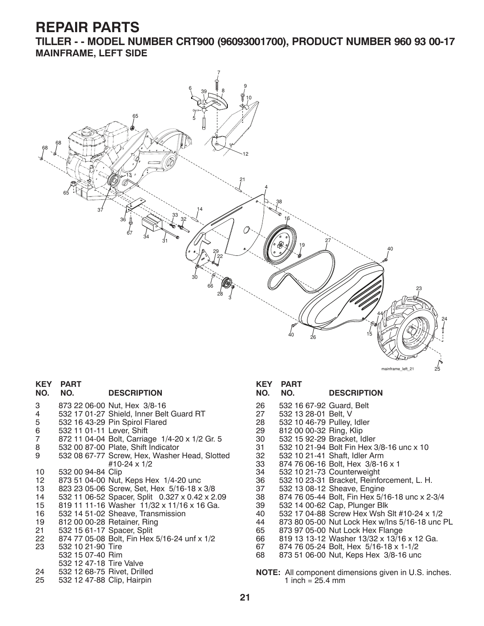**TILLER - - MODEL NUMBER CRT900 (96093001700), PRODUCT NUMBER 960 93 00-17 MAINFRAME, LEFT SIDE**



#### **KEY PART**

#### **NO. NO. DESCRIPTION**

- 3 873 22 06-00 Nut, Hex 3/8-16
- 4 532 17 01-27 Shield, Inner Belt Guard RT
- 5 532 16 43-29 Pin Spirol Flared<br>6 532 11 01-11 Lever, Shift
- 6 532 11 01-11 Lever, Shift
- 7 872 11 04-04 Bolt, Carriage 1/4-20 x 1/2 Gr. 5<br>8 532 00 87-00 Plate, Shift Indicator
- 8 532 00 87-00 Plate, Shift Indicator
- 9 532 08 67-77 Screw, Hex, Washer Head, Slotted #10-24 x 1/2 10 532 00 94-84 Clip
- 12 873 51 04-00 Nut, Keps Hex 1/4-20 unc
- 13 823 23 05-06 Screw, Set, Hex 5/16-18 x 3/8
- 14 532 11 06-52 Spacer, Split 0.327 x 0.42 x 2.09
- 15 819 11 11-16 Washer 11/32 x 11/16 x 16 Ga.
- 16 532 14 51-02 Sheave, Transmission
- 19 812 00 00-28 Retainer, Ring
- 21 532 15 61-17 Spacer, Split<br>22 874 77 05-08 Bolt, Fin Hex
- 22 874 77 05-08 Bolt, Fin Hex 5/16-24 unf x 1/2
- 532 10 21-90 Tire
- 532 15 07-40 Rim
- 532 12 47-18 Tire Valve
- 24 532 12 68-75 Rivet, Drilled 25 532 12 47-88 Clip, Hairpin

#### **KEY PART**

### **NO. NO. DESCRIPTION**

- 26 532 16 67-92 Guard, Belt<br>27 532 13 28-01 Belt. V
- 27 532 13 28-01 Belt, V
- 28 532 10 46-79 Pulley, Idler<br>29 812 00 00-32 Ring, Klip
- 
- 29 812 00 00-32 Ring, Klip<br>30 532 15 92-29 Bracket. Io
- 30 532 15 92-29 Bracket, Idler 31 532 10 21-94 Bolt Fin Hex 3/8-16 unc x 10
- 32 532 10 21-41 Shaft, Idler Arm
- 33 874 76 06-16 Bolt, Hex 3/8-16 x 1
- 34 532 10 21-73 Counterweight
- 36 532 10 23-31 Bracket, Reinforcement, L. H.
- 37 532 13 08-12 Sheave, Engine
- 38 874 76 05-44 Bolt, Fin Hex 5/16-18 unc x 2-3/4
- 39 532 14 00-62 Cap, Plunger Blk
- 40 532 17 04-88 Screw Hex Wsh Slt #10-24 x 1/2
- 44 873 80 05-00 Nut Lock Hex w/Ins 5/16-18 unc PL
- 65 873 97 05-00 Nut Lock Hex Flange
- 66 819 13 13-12 Washer 13/32 x 13/16 x 12 Ga.
- 67 874 76 05-24 Bolt, Hex 5/16-18 x 1-1/2
- 68 873 51 06-00 Nut, Keps Hex 3/8-16 unc
- **NOTE:** All component dimensions given in U.S. inches. 1 inch  $= 25.4$  mm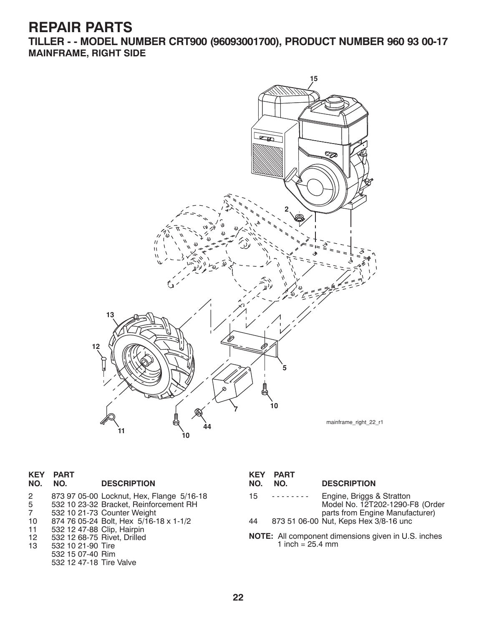**TILLER - - MODEL NUMBER CRT900 (96093001700), PRODUCT NUMBER 960 93 00-17 MAINFRAME, RIGHT SIDE**



|     | <b>KEY PART</b> |                    |
|-----|-----------------|--------------------|
| NO. | NO.             | <b>DESCRIPTION</b> |

 532 15 07-40 Rim 532 12 47-18 Tire Valve

| 2  | 873 97 05-00 Locknut, Hex, Flange 5/16-18 |
|----|-------------------------------------------|
| 5  | 532 10 23-32 Bracket, Reinforcement RH    |
| -7 | 532 10 21-73 Counter Weight               |
| 10 | 874 76 05-24 Bolt. Hex 5/16-18 x 1-1/2    |
| 11 | 532 12 47-88 Clip, Hairpin                |
| 12 | 532 12 68-75 Rivet, Drilled               |
| 13 | 532 10 21-90 Tire                         |

|    | KEY PART<br>NO. NO. | <b>DESCRIPTION</b>        |
|----|---------------------|---------------------------|
| 15 | .                   | Engine, Briggs & Stratton |

| $\sim$ | $E1$ gnio, $E1$ ggo a otiation        |
|--------|---------------------------------------|
|        | Model No. 12T202-1290-F8 (Order       |
|        | parts from Engine Manufacturer)       |
| 44     | 873 51 06-00 Nut, Keps Hex 3/8-16 unc |

**NOTE:** All component dimensions given in U.S. inches 1 inch = 25.4 mm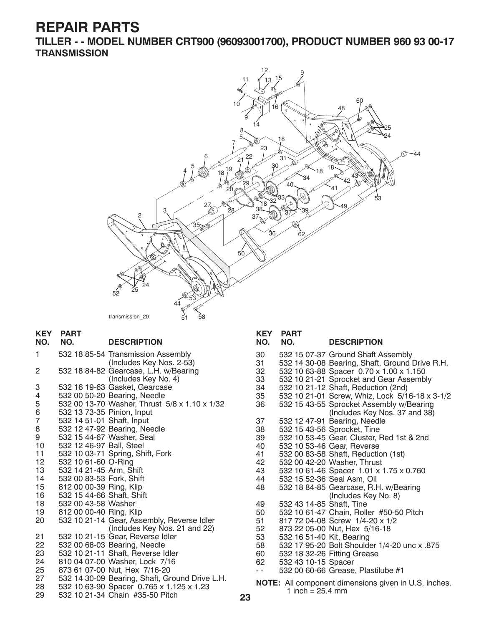**TILLER - - MODEL NUMBER CRT900 (96093001700), PRODUCT NUMBER 960 93 00-17 TRANSMISSION**



| <b>KEY</b><br>NO. | <b>PART</b><br>NO.         | <b>DESCRIPTION</b>                             |    | <b>KEY</b><br>NO. | <b>PART</b><br>NO.        |  |
|-------------------|----------------------------|------------------------------------------------|----|-------------------|---------------------------|--|
| 1                 |                            | 532 18 85-54 Transmission Assembly             |    | 30                | 532 15 07-37 0            |  |
|                   |                            | (Includes Key Nos. 2-53)                       |    | 31                | 532 14 30-08              |  |
| 2                 |                            | 532 18 84-82 Gearcase, L.H. w/Bearing          |    | 32                | 532 10 63-88              |  |
|                   |                            | (Includes Key No. 4)                           |    | 33                | 532 10 21-21 \$           |  |
| 3                 |                            | 532 16 19-63 Gasket, Gearcase                  |    | 34                | 532 10 21-12 \$           |  |
| 4                 |                            | 532 00 50-20 Bearing, Needle                   |    | 35                | 532 10 21-01 \$           |  |
| 5                 |                            | 532 00 13-70 Washer, Thrust 5/8 x 1.10 x 1/32  |    | 36                | 532 15 43-55 \$           |  |
| 6                 | 532 13 73-35 Pinion, Input |                                                |    |                   |                           |  |
| $\overline{7}$    | 532 14 51-01 Shaft, Input  |                                                |    | 37                | 532 12 47-91 1            |  |
| 8                 |                            | 532 12 47-92 Bearing, Needle                   |    | 38                | 532 15 43-56 \$           |  |
| 9                 |                            | 532 15 44-67 Washer, Seal                      |    | 39                | 532 10 53-45 0            |  |
| 10                | 532 12 46-97 Ball, Steel   |                                                |    | 40                | 532 10 53-46 0            |  |
| 11                |                            | 532 10 03-71 Spring, Shift, Fork               |    | 41                | 532 00 83-58              |  |
| 12                | 532 10 61-60 O-Ring        |                                                |    | 42                | 532 00 42-20 \            |  |
| 13                | 532 14 21-45 Arm, Shift    |                                                |    | 43                | 532 10 61-46 \$           |  |
| 14                | 532 00 83-53 Fork, Shift   |                                                |    | 44                | 532 15 52-36 \$           |  |
| 15                | 812 00 00-39 Ring, Klip    |                                                |    | 48                | 532 18 84-85 0            |  |
| 16                | 532 15 44-66 Shaft, Shift  |                                                |    |                   |                           |  |
| 18                | 532 00 43-58 Washer        |                                                |    | 49                | 532 43 14-85 \$           |  |
| 19                | 812 00 00-40 Ring, Klip    |                                                |    | 50                | 532 10 61-47 0            |  |
| 20                |                            | 532 10 21-14 Gear, Assembly, Reverse Idler     |    | 51                | 817 72 04-08 \$           |  |
|                   |                            | (Includes Key Nos. 21 and 22)                  |    | 52                | 873 22 05-00              |  |
| 21                |                            | 532 10 21-15 Gear, Reverse Idler               |    | 53                | 532 16 51-40              |  |
| 22                |                            | 532 00 68-03 Bearing, Needle                   |    | 58                | 532 17 95-20              |  |
| 23                |                            | 532 10 21-11 Shaft, Reverse Idler              |    | 60                | 532 18 32-26              |  |
| 24                |                            | 810 04 07-00 Washer, Lock 7/16                 |    | 62                | 532 43 10-15 \$           |  |
| 25                |                            | 873 61 07-00 Nut, Hex 7/16-20                  |    | $ -$              | 532 00 60-66 0            |  |
| 27                |                            | 532 14 30-09 Bearing, Shaft, Ground Drive L.H. |    |                   | <b>NOTE:</b> All componer |  |
| 28                |                            | 532 10 63-90 Spacer 0.765 x 1.125 x 1.23       |    |                   | 1 inch = $25.4$           |  |
| 29                |                            | 532 10 21-34 Chain #35-50 Pitch                | 23 |                   |                           |  |

|      | NO. NO.                   | <b>DESCRIPTION</b>                             |
|------|---------------------------|------------------------------------------------|
| 30   |                           | 532 15 07-37 Ground Shaft Assembly             |
| 31.  |                           | 532 14 30-08 Bearing, Shaft, Ground Drive R.H. |
| 32   |                           | 532 10 63-88 Spacer 0.70 x 1.00 x 1.150        |
| 33   |                           | 532 10 21-21 Sprocket and Gear Assembly        |
| 34   |                           | 532 10 21-12 Shaft, Reduction (2nd)            |
| 35   |                           | 532 10 21-01 Screw, Whiz, Lock 5/16-18 x 3-1/2 |
| 36   |                           | 532 15 43-55 Sprocket Assembly w/Bearing       |
|      |                           | (Includes Key Nos. 37 and 38)                  |
| 37   |                           | 532 12 47-91 Bearing, Needle                   |
| 38   |                           | 532 15 43-56 Sprocket, Tine                    |
| 39   |                           | 532 10 53-45 Gear, Cluster, Red 1st & 2nd      |
| 40   |                           | 532 10 53-46 Gear, Reverse                     |
| 41   |                           | 532 00 83-58 Shaft, Reduction (1st)            |
| 42   |                           | 532 00 42-20 Washer, Thrust                    |
| 43   |                           | 532 10 61-46 Spacer 1.01 x 1.75 x 0.760        |
| 44   |                           | 532 15 52-36 Seal Asm, Oil                     |
| 48   |                           | 532 18 84-85 Gearcase, R.H. w/Bearing          |
|      |                           | (Includes Key No. 8)                           |
| 49   | 532 43 14-85 Shaft, Tine  |                                                |
| 50   |                           | 532 10 61-47 Chain, Roller #50-50 Pitch        |
| 51   |                           | 817 72 04-08 Screw 1/4-20 x 1/2                |
| 52   |                           | 873 22 05-00 Nut, Hex 5/16-18                  |
| 53   | 532 16 51-40 Kit, Bearing |                                                |
| 58   |                           | 532 17 95-20 Bolt Shoulder 1/4-20 unc x .875   |
| 60   |                           | 532 18 32-26 Fitting Grease                    |
| 62   | 532 43 10-15 Spacer       |                                                |
| $ -$ |                           | 532 00 60-66 Grease, Plastilube #1             |
|      |                           |                                                |

nt dimensions given in U.S. inches.  $4 \text{ mm}$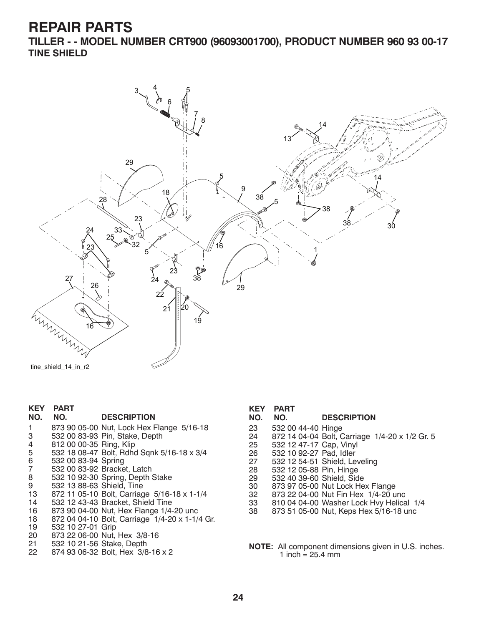**TILLER - - MODEL NUMBER CRT900 (96093001700), PRODUCT NUMBER 960 93 00-17 TINE SHIELD**



| KEY<br><b>PART</b> |  |
|--------------------|--|
|                    |  |

#### **NO. NO. DESCRIPTION**

1 873 90 05-00 Nut, Lock Hex Flange 5/16-18 3 532 00 83-93 Pin, Stake, Depth 4 812 00 00-35 Ring, Klip 5 532 18 08-47 Bolt, Rdhd Sqnk 5/16-18 x 3/4 6 532 00 83-94 Spring 7 532 00 83-92 Bracket, Latch 8 532 10 92-30 Spring, Depth Stake 9 532 13 88-63 Shield, Tine 13 872 11 05-10 Bolt, Carriage 5/16-18 x 1-1/4 14 532 12 43-43 Bracket, Shield Tine 16 873 90 04-00 Nut, Hex Flange 1/4-20 unc 18 872 04 04-10 Bolt, Carriage 1/4-20 x 1-1/4 Gr. 19 532 10 27-01 Grip 20 873 22 06-00 Nut, Hex 3/8-16 21 532 10 21-56 Stake, Depth

|         | <b>KEY PART</b> |                    |
|---------|-----------------|--------------------|
| NO. NO. |                 | <b>DESCRIPTION</b> |

- 
- 23 532 00 44-40 Hinge 24 872 14 04-04 Bolt, Carriage 1/4-20 x 1/2 Gr. 5
- 
- 25 532 12 47-17 Cap, Vinyl 26 532 10 92-27 Pad, Idler
- 27 532 12 54-51 Shield, Leveling
- 28 532 12 05-88 Pin, Hinge
- 29 532 40 39-60 Shield, Side
- 30 873 97 05-00 Nut Lock Hex Flange
- 32 873 22 04-00 Nut Fin Hex 1/4-20 unc
- 33 810 04 04-00 Washer Lock Hvy Helical 1/4
- 38 873 51 05-00 Nut, Keps Hex 5/16-18 unc
- **NOTE:** All component dimensions given in U.S. inches. 1 inch =  $25.4$  mm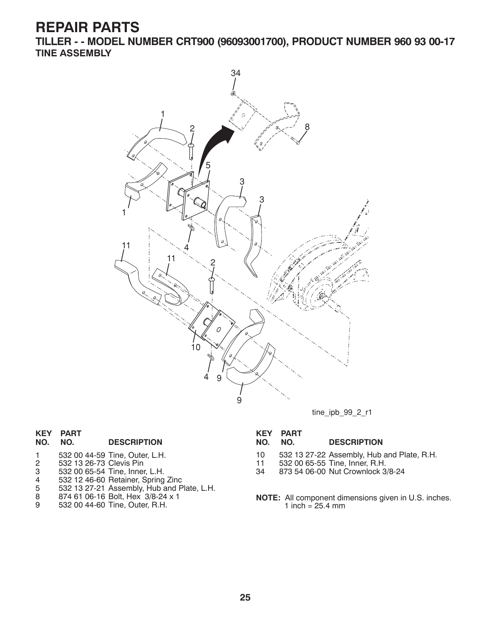**TILLER - - MODEL NUMBER CRT900 (96093001700), PRODUCT NUMBER 960 93 00-17 TINE ASSEMBLY**



tine\_ipb\_99\_2\_r1

### **KEY PART DESCRIPTION**

- 1 532 00 44-59 Tine, Outer, L.H.<br>2 532 13 26-73 Clevis Pin
- 2 532 13 26-73 Clevis Pin
- 3 532 00 65-54 Tine, Inner, L.H.
- 4 532 12 46-60 Retainer, Spring Zinc
- 5 532 13 27-21 Assembly, Hub and Plate, L.H.
- 8 874 61 06-16 Bolt, Hex 3/8-24 x 1
- 9 532 00 44-60 Tine, Outer, R.H.

# **KEY PART**

#### **DESCRIPTION**

- 10 532 13 27-22 Assembly, Hub and Plate, R.H.
- 11 532 00 65-55 Tine, Inner, R.H.
- 34 873 54 06-00 Nut Crownlock 3/8-24
- **NOTE:** All component dimensions given in U.S. inches. 1 inch =  $25.4 \, \text{mm}$